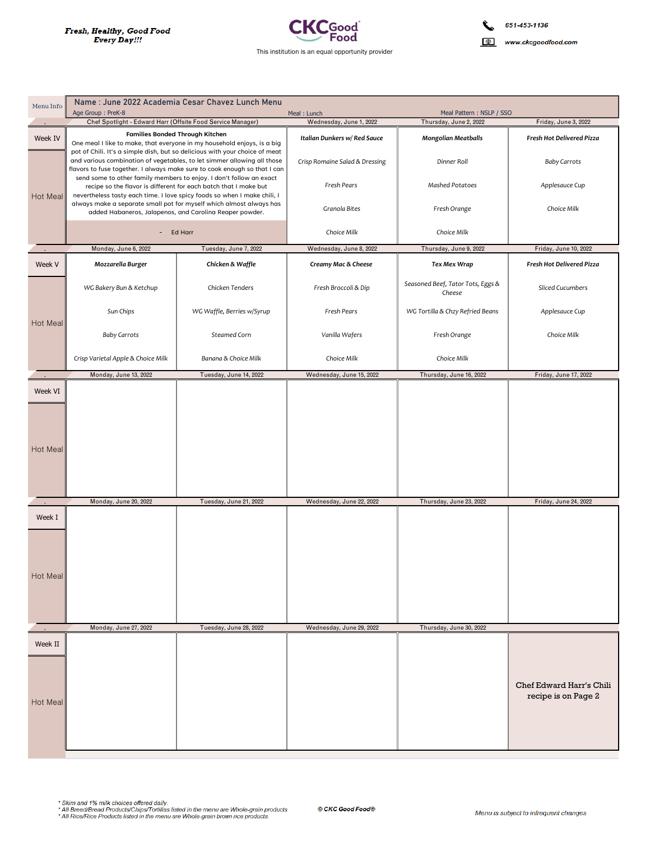r.



| Menu Info          | Name: June 2022 Academia Cesar Chavez Lunch Menu<br>Age Group: PreK-8<br>Meal Pattern: NSLP / SSO<br>Meal: Lunch                                                                                                                    |                            |                                |                                             |                                                 |
|--------------------|-------------------------------------------------------------------------------------------------------------------------------------------------------------------------------------------------------------------------------------|----------------------------|--------------------------------|---------------------------------------------|-------------------------------------------------|
|                    | Chef Spotlight - Edward Harr (Offsite Food Service Manager)                                                                                                                                                                         |                            | Wednesday, June 1, 2022        | Thursday, June 2, 2022                      | Friday, June 3, 2022                            |
| Week IV            | <b>Families Bonded Through Kitchen</b><br>One meal I like to make, that everyone in my household enjoys, is a big                                                                                                                   |                            | Italian Dunkers w/ Red Sauce   | <b>Mongolian Meatballs</b>                  | Fresh Hot Delivered Pizza                       |
| Hot Meal           | pot of Chili. It's a simple dish, but so delicious with your choice of meat<br>and various combination of vegetables, to let simmer allowing all those<br>flavors to fuse together. I always make sure to cook enough so that I can |                            | Crisp Romaine Salad & Dressing | Dinner Roll                                 | <b>Baby Carrots</b>                             |
|                    | send some to other family members to enjoy. I don't follow an exact<br>recipe so the flavor is different for each batch that I make but<br>nevertheless tasty each time. I love spicy foods so when I make chili, I                 |                            | Fresh Pears                    | Mashed Potatoes                             | Applesauce Cup                                  |
|                    | always make a separate small pot for myself which almost always has<br>added Habaneros, Jalapenos, and Carolina Reaper powder.                                                                                                      |                            | <b>Granola Bites</b>           | Fresh Orange                                | Choice Milk                                     |
|                    | Ed Harr<br>$\sim 100$                                                                                                                                                                                                               |                            | Choice Milk                    | Choice Milk                                 |                                                 |
|                    | Monday, June 6, 2022                                                                                                                                                                                                                | Tuesday, June 7, 2022      | Wednesday, June 8, 2022        | Thursday, June 9, 2022                      | Friday, June 10, 2022                           |
| Week V             | Mozzarella Burger                                                                                                                                                                                                                   | Chicken & Waffle           | Creamy Mac & Cheese            | Tex Mex Wrap                                | Fresh Hot Delivered Pizza                       |
| Hot Meal           | WG Bakery Bun & Ketchup                                                                                                                                                                                                             | Chicken Tenders            | Fresh Broccoli & Dip           | Seasoned Beef, Tator Tots, Eggs &<br>Cheese | <b>Sliced Cucumbers</b>                         |
|                    | Sun Chips                                                                                                                                                                                                                           | WG Waffle, Berries w/Syrup | Fresh Pears                    | WG Tortilla & Chzy Refried Beans            | Applesauce Cup                                  |
|                    | <b>Baby Carrots</b>                                                                                                                                                                                                                 | Steamed Corn               | Vanilla Wafers                 | Fresh Orange                                | Choice Milk                                     |
|                    | Crisp Varietal Apple & Choice Milk                                                                                                                                                                                                  | Banana & Choice Milk       | Choice Milk                    | Choice Milk                                 |                                                 |
|                    | Monday, June 13, 2022                                                                                                                                                                                                               | Tuesday, June 14, 2022     | Wednesday, June 15, 2022       | Thursday, June 16, 2022                     | Friday, June 17, 2022                           |
| Week VI            |                                                                                                                                                                                                                                     |                            |                                |                                             |                                                 |
| Hot Meal           |                                                                                                                                                                                                                                     |                            |                                |                                             |                                                 |
|                    | Monday, June 20, 2022                                                                                                                                                                                                               | Tuesday, June 21, 2022     | Wednesday, June 22, 2022       | Thursday, June 23, 2022                     | Friday, June 24, 2022                           |
| Week I<br>Hot Meal |                                                                                                                                                                                                                                     |                            |                                |                                             |                                                 |
|                    |                                                                                                                                                                                                                                     |                            |                                |                                             |                                                 |
|                    | Monday, June 27, 2022                                                                                                                                                                                                               | Tuesday, June 28, 2022     | Wednesday, June 29, 2022       | Thursday, June 30, 2022                     |                                                 |
| Week II            |                                                                                                                                                                                                                                     |                            |                                |                                             | Chef Edward Harr's Chili<br>recipe is on Page 2 |
| Hot Meal           |                                                                                                                                                                                                                                     |                            |                                |                                             |                                                 |

```
* Skim and 1% milk choices offered daily.<br>* All Bread/Bread Products/Chips/Tortillas listed in the menu are Whole-grain products.<br>* All Rice/Rice Products listed in the menu are Whole-grain brown rice products.
```